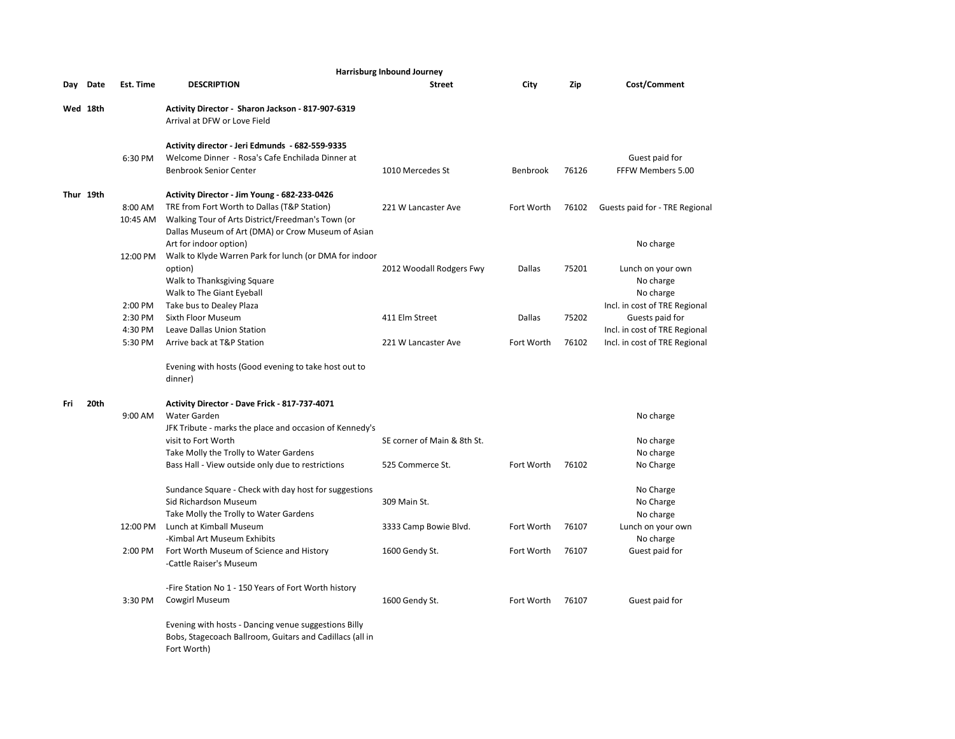|          | Harrisburg Inbound Journey |           |                                                                 |                             |               |       |                                |  |  |  |
|----------|----------------------------|-----------|-----------------------------------------------------------------|-----------------------------|---------------|-------|--------------------------------|--|--|--|
| Day      | Date                       | Est. Time | <b>DESCRIPTION</b>                                              | <b>Street</b>               | City          | Zip   | Cost/Comment                   |  |  |  |
| Wed 18th |                            |           | Activity Director - Sharon Jackson - 817-907-6319               |                             |               |       |                                |  |  |  |
|          |                            |           | Arrival at DFW or Love Field                                    |                             |               |       |                                |  |  |  |
|          |                            |           | Activity director - Jeri Edmunds - 682-559-9335                 |                             |               |       |                                |  |  |  |
|          |                            | 6:30 PM   | Welcome Dinner - Rosa's Cafe Enchilada Dinner at                |                             |               |       | Guest paid for                 |  |  |  |
|          |                            |           | <b>Benbrook Senior Center</b>                                   | 1010 Mercedes St            | Benbrook      | 76126 | FFFW Members 5.00              |  |  |  |
|          | Thur 19th                  |           | Activity Director - Jim Young - 682-233-0426                    |                             |               |       |                                |  |  |  |
|          |                            | 8:00 AM   | TRE from Fort Worth to Dallas (T&P Station)                     | 221 W Lancaster Ave         | Fort Worth    | 76102 | Guests paid for - TRE Regional |  |  |  |
|          |                            | 10:45 AM  | Walking Tour of Arts District/Freedman's Town (or               |                             |               |       |                                |  |  |  |
|          |                            |           | Dallas Museum of Art (DMA) or Crow Museum of Asian              |                             |               |       |                                |  |  |  |
|          |                            |           | Art for indoor option)                                          |                             |               |       | No charge                      |  |  |  |
|          |                            | 12:00 PM  | Walk to Klyde Warren Park for lunch (or DMA for indoor          |                             |               |       |                                |  |  |  |
|          |                            |           | option)                                                         | 2012 Woodall Rodgers Fwy    | Dallas        | 75201 | Lunch on your own              |  |  |  |
|          |                            |           | Walk to Thanksgiving Square                                     |                             |               |       | No charge                      |  |  |  |
|          |                            |           | Walk to The Giant Eyeball                                       |                             |               |       | No charge                      |  |  |  |
|          |                            | 2:00 PM   | Take bus to Dealey Plaza                                        |                             |               |       | Incl. in cost of TRE Regional  |  |  |  |
|          |                            | 2:30 PM   | Sixth Floor Museum                                              | 411 Elm Street              | <b>Dallas</b> | 75202 | Guests paid for                |  |  |  |
|          |                            | 4:30 PM   | Leave Dallas Union Station                                      |                             |               |       | Incl. in cost of TRE Regional  |  |  |  |
|          |                            | 5:30 PM   | Arrive back at T&P Station                                      | 221 W Lancaster Ave         | Fort Worth    | 76102 | Incl. in cost of TRE Regional  |  |  |  |
|          |                            |           | Evening with hosts (Good evening to take host out to<br>dinner) |                             |               |       |                                |  |  |  |
| Fri      | 20th                       |           | Activity Director - Dave Frick - 817-737-4071                   |                             |               |       |                                |  |  |  |
|          |                            | 9:00 AM   | Water Garden                                                    |                             |               |       | No charge                      |  |  |  |
|          |                            |           | JFK Tribute - marks the place and occasion of Kennedy's         |                             |               |       |                                |  |  |  |
|          |                            |           | visit to Fort Worth                                             | SE corner of Main & 8th St. |               |       | No charge                      |  |  |  |
|          |                            |           | Take Molly the Trolly to Water Gardens                          |                             |               |       | No charge                      |  |  |  |
|          |                            |           | Bass Hall - View outside only due to restrictions               | 525 Commerce St.            | Fort Worth    | 76102 | No Charge                      |  |  |  |
|          |                            |           | Sundance Square - Check with day host for suggestions           |                             |               |       | No Charge                      |  |  |  |
|          |                            |           | Sid Richardson Museum                                           | 309 Main St.                |               |       | No Charge                      |  |  |  |
|          |                            |           | Take Molly the Trolly to Water Gardens                          |                             |               |       | No charge                      |  |  |  |
|          |                            | 12:00 PM  | Lunch at Kimball Museum                                         | 3333 Camp Bowie Blvd.       | Fort Worth    | 76107 | Lunch on your own              |  |  |  |
|          |                            |           | -Kimbal Art Museum Exhibits                                     |                             |               |       | No charge                      |  |  |  |
|          |                            | 2:00 PM   | Fort Worth Museum of Science and History                        | 1600 Gendy St.              | Fort Worth    | 76107 | Guest paid for                 |  |  |  |
|          |                            |           | -Cattle Raiser's Museum                                         |                             |               |       |                                |  |  |  |
|          |                            |           | -Fire Station No 1 - 150 Years of Fort Worth history            |                             |               |       |                                |  |  |  |
|          |                            | 3:30 PM   | Cowgirl Museum                                                  | 1600 Gendy St.              | Fort Worth    | 76107 | Guest paid for                 |  |  |  |
|          |                            |           | Evening with hosts - Dancing venue suggestions Billy            |                             |               |       |                                |  |  |  |
|          |                            |           | Bobs, Stagecoach Ballroom, Guitars and Cadillacs (all in        |                             |               |       |                                |  |  |  |
|          |                            |           | Fort Worth)                                                     |                             |               |       |                                |  |  |  |